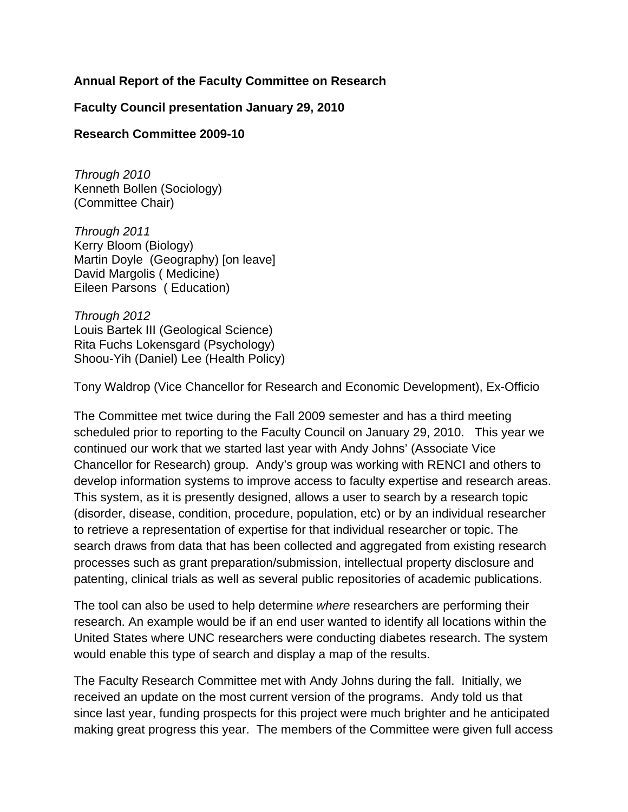# **Annual Report of the Faculty Committee on Research**

**Faculty Council presentation January 29, 2010** 

# **Research Committee 2009-10**

*Through 2010*  Kenneth Bollen (Sociology) (Committee Chair)

*Through 2011*  Kerry Bloom (Biology) Martin Doyle (Geography) [on leave] David Margolis ( Medicine) Eileen Parsons ( Education)

*Through 2012*  Louis Bartek III (Geological Science) Rita Fuchs Lokensgard (Psychology) Shoou-Yih (Daniel) Lee (Health Policy)

Tony Waldrop (Vice Chancellor for Research and Economic Development), Ex-Officio

The Committee met twice during the Fall 2009 semester and has a third meeting scheduled prior to reporting to the Faculty Council on January 29, 2010. This year we continued our work that we started last year with Andy Johns' (Associate Vice Chancellor for Research) group. Andy's group was working with RENCI and others to develop information systems to improve access to faculty expertise and research areas. This system, as it is presently designed, allows a user to search by a research topic (disorder, disease, condition, procedure, population, etc) or by an individual researcher to retrieve a representation of expertise for that individual researcher or topic. The search draws from data that has been collected and aggregated from existing research processes such as grant preparation/submission, intellectual property disclosure and patenting, clinical trials as well as several public repositories of academic publications.

The tool can also be used to help determine *where* researchers are performing their research. An example would be if an end user wanted to identify all locations within the United States where UNC researchers were conducting diabetes research. The system would enable this type of search and display a map of the results.

The Faculty Research Committee met with Andy Johns during the fall. Initially, we received an update on the most current version of the programs. Andy told us that since last year, funding prospects for this project were much brighter and he anticipated making great progress this year. The members of the Committee were given full access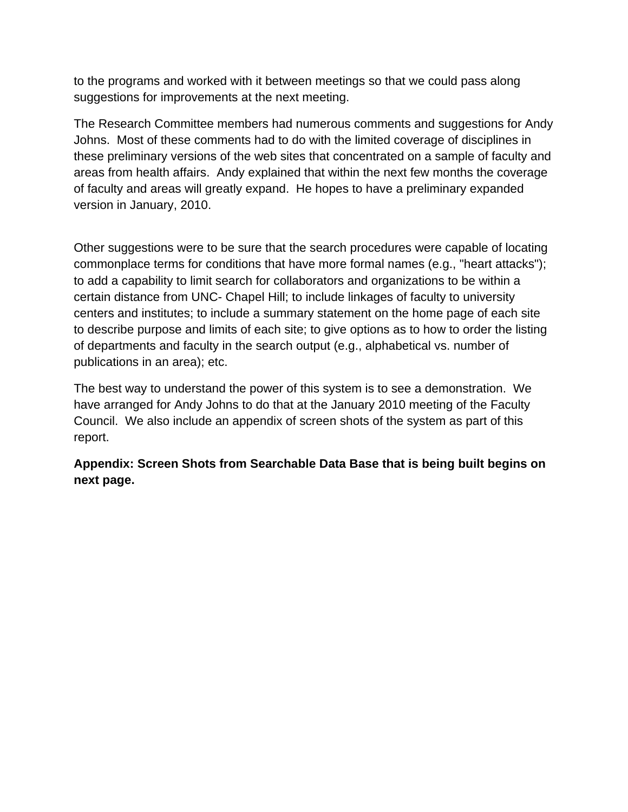to the programs and worked with it between meetings so that we could pass along suggestions for improvements at the next meeting.

The Research Committee members had numerous comments and suggestions for Andy Johns. Most of these comments had to do with the limited coverage of disciplines in these preliminary versions of the web sites that concentrated on a sample of faculty and areas from health affairs. Andy explained that within the next few months the coverage of faculty and areas will greatly expand. He hopes to have a preliminary expanded version in January, 2010.

Other suggestions were to be sure that the search procedures were capable of locating commonplace terms for conditions that have more formal names (e.g., "heart attacks"); to add a capability to limit search for collaborators and organizations to be within a certain distance from UNC- Chapel Hill; to include linkages of faculty to university centers and institutes; to include a summary statement on the home page of each site to describe purpose and limits of each site; to give options as to how to order the listing of departments and faculty in the search output (e.g., alphabetical vs. number of publications in an area); etc.

The best way to understand the power of this system is to see a demonstration. We have arranged for Andy Johns to do that at the January 2010 meeting of the Faculty Council. We also include an appendix of screen shots of the system as part of this report.

**Appendix: Screen Shots from Searchable Data Base that is being built begins on next page.**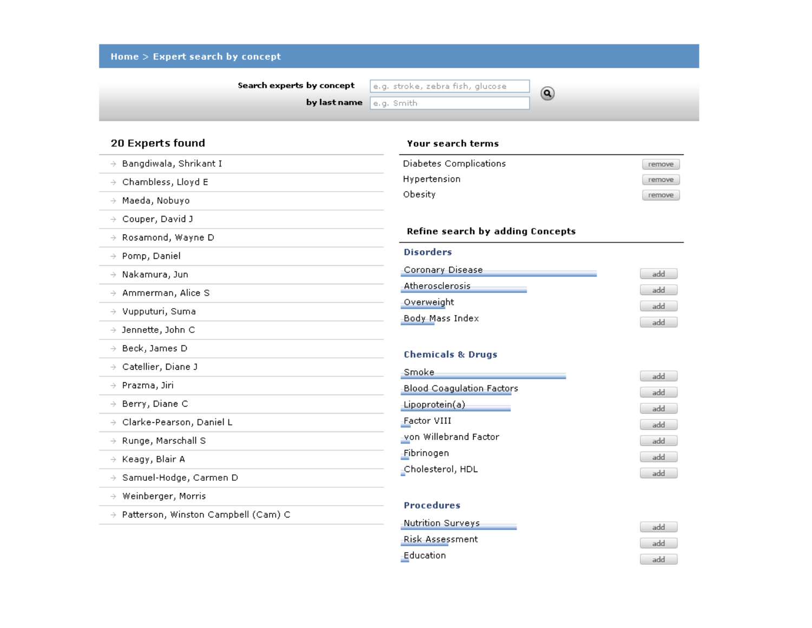| Search experts by concept              | e.g. stroke, zebra fish, glucose<br>$\circledcirc$ |            |
|----------------------------------------|----------------------------------------------------|------------|
|                                        | by last name<br>e.g. Smith                         |            |
| 20 Experts found                       | <b>Your search terms</b>                           |            |
| $\rightarrow$ Bangdiwala, Shrikant I   | Diabetes Complications                             | remove     |
| $\rightarrow$ Chambless, Lloyd E       | Hypertension                                       | remove     |
| Maeda, Nobuyo<br>$\rightarrow$         | Obesity                                            | remove     |
| $\rightarrow$ Couper, David J          |                                                    |            |
| $\rightarrow$ Rosamond, Wayne D        | Refine search by adding Concepts                   |            |
| $\rightarrow$ Pomp, Daniel             | <b>Disorders</b>                                   |            |
| $\rightarrow$ Nakamura, Jun            | Coronary Disease                                   | add        |
| $\rightarrow$ Ammerman, Alice S        | Atherosclerosis                                    | add        |
| $\rightarrow$ Vupputuri, Suma          | Overweight                                         | add        |
| $\rightarrow$ Jennette, John C         | Body Mass Index                                    | add        |
| $\rightarrow$ Beck, James D            |                                                    |            |
| $\rightarrow$ Catellier, Diane J       | <b>Chemicals &amp; Drugs</b>                       |            |
| $\rightarrow$ Prazma, Jiri             | Smoke<br><b>Blood Coagulation Factors</b>          | add        |
| $\rightarrow$ Berry, Diane C           | Lipoprotein(a)                                     | add        |
| $\rightarrow$ Clarke-Pearson, Daniel L | Factor VIII                                        | add<br>add |
| $\rightarrow$ Runge, Marschall S       | von Willebrand Factor                              | add        |
| $\rightarrow$ Keagy, Blair A           | Fibrinogen                                         | add        |
| $\rightarrow$ Samuel-Hodge, Carmen D   | -Cholesterol, HDL                                  | add        |
| Weinberger, Morris<br>$\rightarrow$    |                                                    |            |
| → Patterson, Winston Campbell (Cam) C  | <b>Procedures</b>                                  |            |

Education

add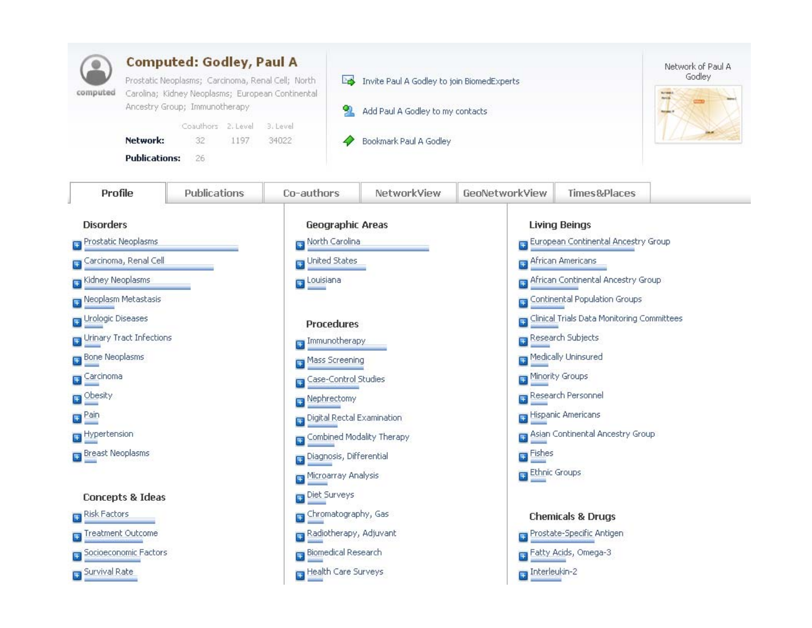| <b>Computed: Godley, Paul A</b><br>Prostatic Neoplasms; Carcinoma, Renal Cell; North<br>Carolina; Kidney Neoplasms; European Continental<br>computed<br>Ancestry Group; Immunotherapy<br>Coauthors 2. Level<br>3. Level<br>Network:<br>32<br>1197<br>34022<br><b>Publications:</b><br>26 |              |                      | Invite Paul A Godley to join BiomedExperts<br>Po.<br>Add Paul A Godley to my contacts<br>Bookmark Paul A Godley | Network of Paul A<br>Godley<br><b>Arris</b> |                                                                      |                                                   |  |
|------------------------------------------------------------------------------------------------------------------------------------------------------------------------------------------------------------------------------------------------------------------------------------------|--------------|----------------------|-----------------------------------------------------------------------------------------------------------------|---------------------------------------------|----------------------------------------------------------------------|---------------------------------------------------|--|
| Profile                                                                                                                                                                                                                                                                                  | Publications | Co-authors           | NetworkView                                                                                                     | GeoNetworkView                              | Times&Places                                                         |                                                   |  |
| <b>Disorders</b><br>Prostatic Neoplasms<br>Ŧ                                                                                                                                                                                                                                             |              |                      | <b>Geographic Areas</b><br>North Carolina                                                                       |                                             | <b>Living Beings</b><br><b>B</b> European Continental Ancestry Group |                                                   |  |
| Carcinoma, Renal Cell                                                                                                                                                                                                                                                                    |              | United States        |                                                                                                                 | African Americans                           |                                                                      |                                                   |  |
| <b>El</b> Kidney Neoplasms                                                                                                                                                                                                                                                               |              | Louisiana            |                                                                                                                 |                                             | <b>Pa African Continental Ancestry Group</b>                         |                                                   |  |
| Neoplasm Metastasis                                                                                                                                                                                                                                                                      |              |                      |                                                                                                                 |                                             | <b>T</b> Continental Population Groups                               |                                                   |  |
| <b>H</b> Urologic Diseases<br><b>Procedures</b>                                                                                                                                                                                                                                          |              |                      |                                                                                                                 |                                             |                                                                      | <b>Clinical Trials Data Monitoring Committees</b> |  |
| Urinary Tract Infections<br>Immunotherapy                                                                                                                                                                                                                                                |              |                      |                                                                                                                 |                                             | Research Subjects                                                    |                                                   |  |
| Bone Neoplasms<br>Ŧ                                                                                                                                                                                                                                                                      |              | Mass Screening       |                                                                                                                 |                                             | Medically Uninsured                                                  |                                                   |  |
| Carcinoma                                                                                                                                                                                                                                                                                |              | Case-Control Studies |                                                                                                                 |                                             | Minority Groups                                                      |                                                   |  |
| <b>D</b> Obesity                                                                                                                                                                                                                                                                         |              | Nephrectomy          |                                                                                                                 | Research Personnel                          |                                                                      |                                                   |  |
| $\blacksquare$ Pain                                                                                                                                                                                                                                                                      |              |                      | Digital Rectal Examination                                                                                      |                                             | Hispanic Americans                                                   |                                                   |  |
| Hypertension                                                                                                                                                                                                                                                                             |              |                      | Combined Modality Therapy                                                                                       |                                             | Asian Continental Ancestry Group                                     |                                                   |  |
| <b>Breast Neoplasms</b>                                                                                                                                                                                                                                                                  |              |                      | Diagnosis, Differential                                                                                         |                                             | <b>Explored</b>                                                      |                                                   |  |
|                                                                                                                                                                                                                                                                                          |              | Microarray Analysis  |                                                                                                                 | Ethnic Groups                               |                                                                      |                                                   |  |
| <b>Concepts &amp; Ideas</b>                                                                                                                                                                                                                                                              |              | Diet Surveys         |                                                                                                                 |                                             |                                                                      |                                                   |  |
| Risk Factors                                                                                                                                                                                                                                                                             |              | Chromatography, Gas  |                                                                                                                 |                                             | <b>Chemicals &amp; Drugs</b>                                         |                                                   |  |
| Treatment Outcome                                                                                                                                                                                                                                                                        |              |                      | Radiotherapy, Adjuvant                                                                                          |                                             | Prostate-Specific Antigen                                            |                                                   |  |
| Socioeconomic Factors                                                                                                                                                                                                                                                                    |              |                      | <b>Biomedical Research</b>                                                                                      |                                             | Fatty Acids, Omega-3                                                 |                                                   |  |
| Survival Rate                                                                                                                                                                                                                                                                            |              |                      | Health Care Surveys                                                                                             | $\Box$ Interleukin-2                        |                                                                      |                                                   |  |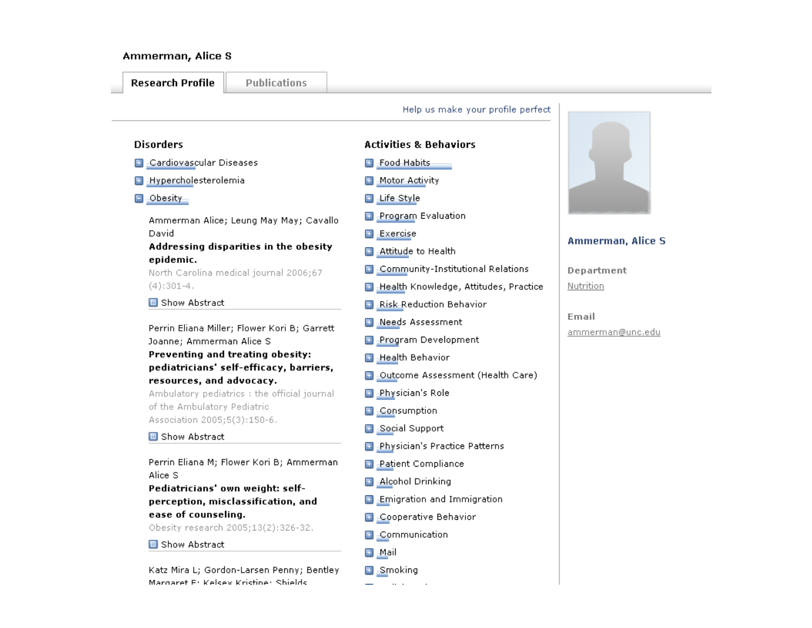### Ammerman, Alice S

#### **Research Profile**

**Publications** 

### Help us make your profile perfect

#### **Disorders**

- **B** Cardiovascular Diseases
- **B** Hypercholesterolemia
- $\Box$  -Obesity -

Ammerman Alice; Leung May May; Cavallo David

## Addressing disparities in the obesity epidemic.

North Carolina medical journal 2006;67  $(4):301-4.$ 

#### **B** Show Abstract

Perrin Eliana Miller; Flower Kori B; Garrett Joanne; Ammerman Alice S Preventing and treating obesity: pediatricians' self-efficacy, barriers,

# resources, and advocacy.

Ambulatory pediatrics : the official journal of the Ambulatory Pediatric Association 2005;5(3):150-6.

#### **B** Show Abstract

Perrin Eliana M; Flower Kori B; Ammerman Alice S

Pediatricians' own weight: selfperception, misclassification, and ease of counseling.

Obesity research 2005;13(2):326-32.

#### **B** Show Abstract

Katz Mira L; Gordon-Larsen Penny; Bentley Margaret E: Kelsey Kristine: Shields

# **Activities & Behaviors**

- **El** Food Habits
- Motor Activity
- □ Life Style
- Program Evaluation
- **Exercise**
- Attitude to Health Œ
- **B** Community-Institutional Relations
- Health Knowledge, Attitudes, Practice  $\overline{+}$
- **Risk Reduction Behavior**
- Needs Assessment Œ
- **El Program Development**
- **El** Health Behavior
- **B** Outcome Assessment (Health Care)
- **Physician's Role**
- Consumption Œ
- **El** Social Support
- **Physician's Practice Patterns**
- **Patient Compliance** Œ
- **Alcohol Drinking**
- $\Box$  Emigration and Immigration
- **B** Cooperative Behavior
- E Communication
- 国 Mail
- **E** Smoking



## Ammerman, Alice S.

Department Nutrition

Email ammerman@unc.edu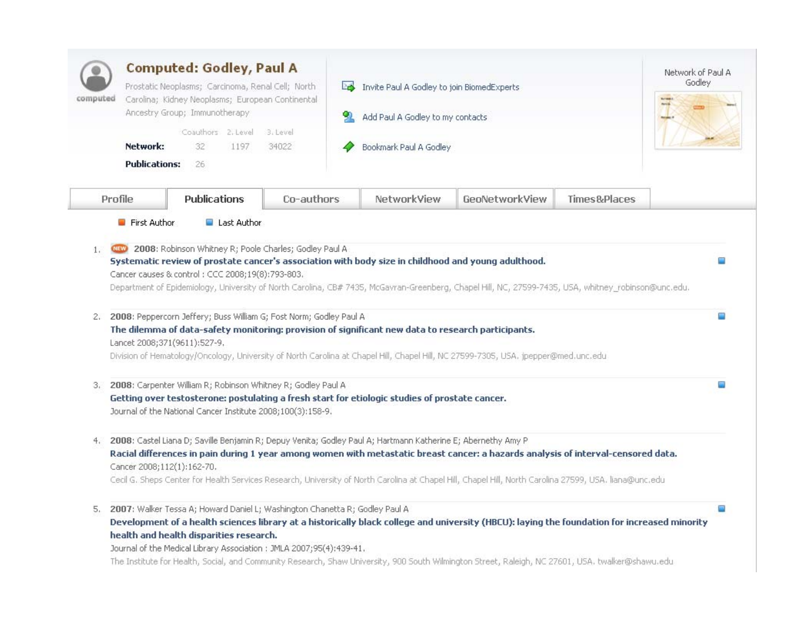| <b>Computed: Godley, Paul A</b><br>Prostatic Neoplasms; Carcinoma, Renal Cell; North<br>Carolina; Kidney Neoplasms; European Continental<br>computed<br>Ancestry Group; Immunotherapy<br>Coauthors 2. Level<br>3. Level<br>Network:<br>32<br>1197<br>34022 |                                                                                                                                                                                                                                                                                                                                                                     |            | Invite Paul A Godley to join BiomedExperts<br>PS.<br>Add Paul A Godley to my contacts<br>Bookmark Paul A Godley |                                                                                                                                                                                                                                                                                                   |              | Network of Paul A<br>Godley |
|------------------------------------------------------------------------------------------------------------------------------------------------------------------------------------------------------------------------------------------------------------|---------------------------------------------------------------------------------------------------------------------------------------------------------------------------------------------------------------------------------------------------------------------------------------------------------------------------------------------------------------------|------------|-----------------------------------------------------------------------------------------------------------------|---------------------------------------------------------------------------------------------------------------------------------------------------------------------------------------------------------------------------------------------------------------------------------------------------|--------------|-----------------------------|
| <b>Publications:</b><br>Profile                                                                                                                                                                                                                            | 26<br><b>Publications</b>                                                                                                                                                                                                                                                                                                                                           | Co-authors | NetworkView                                                                                                     | GeoNetworkView                                                                                                                                                                                                                                                                                    | Times&Places |                             |
| 2.                                                                                                                                                                                                                                                         | Systematic review of prostate cancer's association with body size in childhood and young adulthood.<br>Cancer causes & control: CCC 2008;19(8):793-803.<br>2008: Peppercorn Jeffery; Buss William G; Fost Norm; Godley Paul A<br>The dilemma of data-safety monitoring: provision of significant new data to research participants.<br>Lancet 2008;371(9611):527-9. |            |                                                                                                                 | Department of Epidemiology, University of North Carolina, CB# 7435, McGavran-Greenberg, Chapel Hill, NC, 27599-7435, USA, whitney_robinson@unc.edu.                                                                                                                                               |              | ▭<br>œ                      |
| 3.                                                                                                                                                                                                                                                         | 2008: Carpenter William R; Robinson Whitney R; Godley Paul A<br>Getting over testosterone: postulating a fresh start for etiologic studies of prostate cancer.<br>Journal of the National Cancer Institute 2008;100(3):158-9.                                                                                                                                       |            |                                                                                                                 | Division of Hematology/Oncology, University of North Carolina at Chapel Hill, Chapel Hill, NC 27599-7305, USA. jpepper@med.unc.edu                                                                                                                                                                |              | o.                          |
| 4.                                                                                                                                                                                                                                                         | 2008: Castel Liana D; Saville Benjamin R; Depuy Venita; Godley Paul A; Hartmann Katherine E; Abernethy Amy P<br>Cancer 2008;112(1):162-70.                                                                                                                                                                                                                          |            |                                                                                                                 | Racial differences in pain during 1 year among women with metastatic breast cancer: a hazards analysis of interval-censored data.<br>Cecil G. Sheps Center for Health Services Research, University of North Carolina at Chapel Hill, Chapel Hill, North Carolina 27599, USA. liana@unc.edu       |              |                             |
| 5.                                                                                                                                                                                                                                                         | 2007: Walker Tessa A; Howard Daniel L; Washington Chanetta R; Godley Paul A<br>health and health disparities research.<br>Journal of the Medical Library Association : JMLA 2007;95(4):439-41.                                                                                                                                                                      |            |                                                                                                                 | Development of a health sciences library at a historically black college and university (HBCU): laying the foundation for increased minority<br>The Institute for Health, Social, and Community Research, Shaw University, 900 South Wilmington Street, Raleigh, NC 27601, USA. twalker@shawu.edu |              | Ω                           |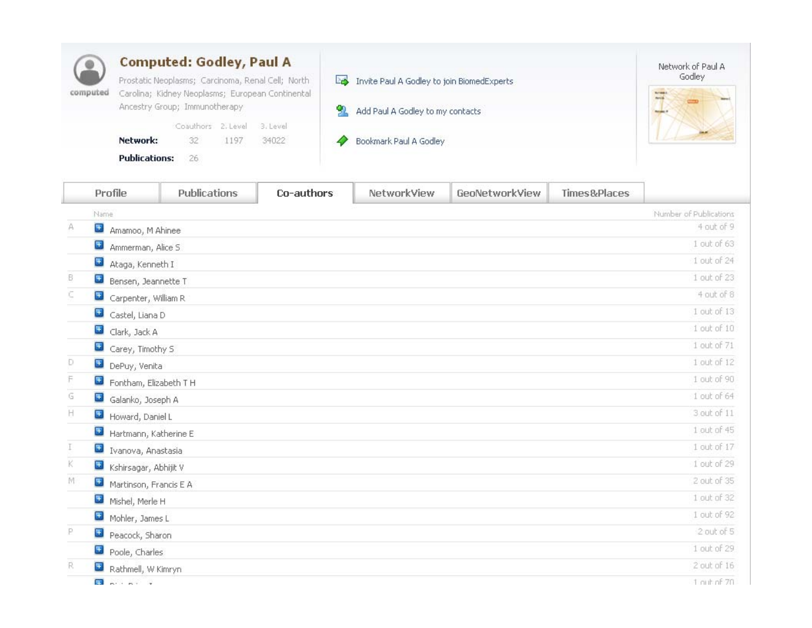| computed | <b>Computed: Godley, Paul A</b>                                                                       |    |                             |       |  |                                            | Network of Paul A |
|----------|-------------------------------------------------------------------------------------------------------|----|-----------------------------|-------|--|--------------------------------------------|-------------------|
|          | Prostatic Neoplasms; Carcinoma, Renal Cell; North<br>Carolina; Kidney Neoplasms; European Continental |    |                             |       |  | Invite Paul A Godley to join BiomedExperts | Godley            |
|          | Ancestry Group; Immunotherapy                                                                         |    |                             |       |  | Add Paul A Godley to my contacts           |                   |
|          |                                                                                                       |    | Coauthors 2. Level 3. Level |       |  |                                            |                   |
|          | Network:                                                                                              | 32 | 1197                        | 34022 |  | Bookmark Paul A Godley                     |                   |
|          | <b>Publications:</b>                                                                                  | 26 |                             |       |  |                                            |                   |

|    | Profile                      | Publications | Co-authors | NetworkView | GeoNetworkView | Times&Places |                        |
|----|------------------------------|--------------|------------|-------------|----------------|--------------|------------------------|
|    | Name                         |              |            |             |                |              | Number of Publications |
| Α  | $\pm$<br>Amamoo, M Ahinee    |              |            |             |                |              | 4 out of 9             |
|    | $\pm$<br>Ammerman, Alice S.  |              |            |             |                |              | 1 out of 63            |
|    | $\pm$<br>Ataga, Kenneth I    |              |            |             |                |              | 1 out of 24            |
| B. | <b>E</b> Bensen, Jeannette T |              |            |             |                |              | 1 out of 23            |
| c  | Carpenter, William R         |              |            |             |                |              | 4 out of 8             |
|    | Castel, Liana D              |              |            |             |                |              | 1 out of 13            |
|    | $\pm$<br>Clark, Jack A       |              |            |             |                |              | 1 out of 10            |
|    | $\pm$<br>Carey, Timothy S    |              |            |             |                |              | 1 out of 71            |
| Ð  | DePuy, Venita                |              |            |             |                |              | $1$ out of $12$        |
| F  | Fontham, Elizabeth T H       |              |            |             |                |              | 1 out of 90            |
| G  | Galanko, Joseph A            |              |            |             |                |              | 1 out of 64            |
| H  | Howard, Daniel L             |              |            |             |                |              | 3 out of 11            |
|    | Hartmann, Katherine E        |              |            |             |                |              | $1$ out of $45$        |
| Τ  | + Ivanova, Anastasia         |              |            |             |                |              | 1 out of 17            |
| ĸ  | Kshirsagar, Abhijit V        |              |            |             |                |              | 1 out of 29            |
| M  | Martinson, Francis E A       |              |            |             |                |              | 2 out of 35            |
|    | $\pm$<br>Mishel, Merle H     |              |            |             |                |              | 1 out of 32            |
|    | Mohler, James L              |              |            |             |                |              | 1 out of 92            |
| P  | Peacock, Sharon              |              |            |             |                |              | 2 out of 5             |
|    | $\pm$<br>Poole, Charles      |              |            |             |                |              | 1 out of 29            |
| R. | Rathmell, W Kimryn           |              |            |             |                |              | $2$ out of $16$        |
|    |                              |              |            |             |                |              |                        |

 $\Box$   $\Box$   $\Box$   $\Box$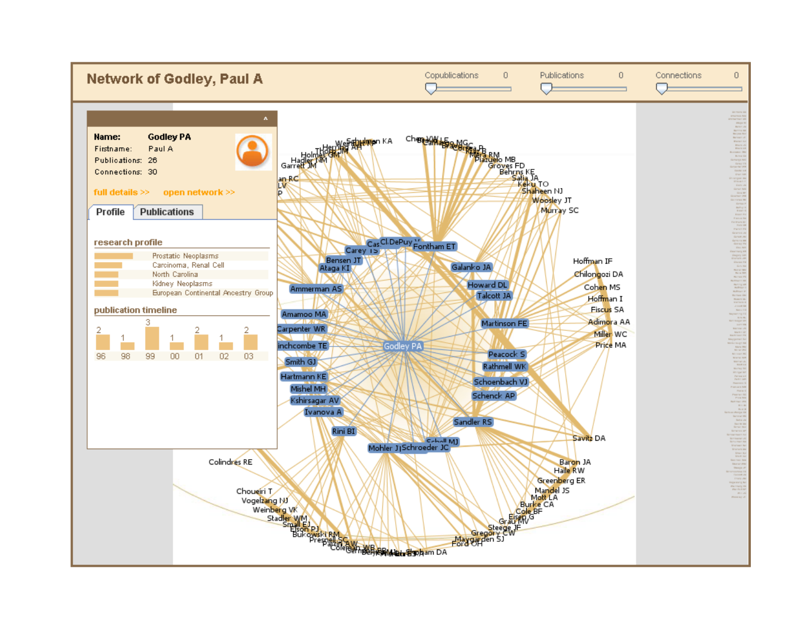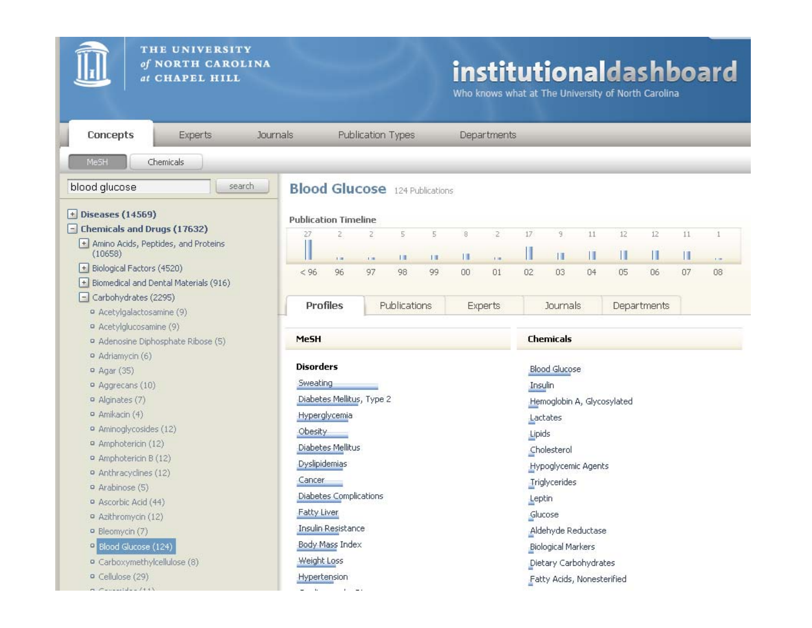

 $-7$